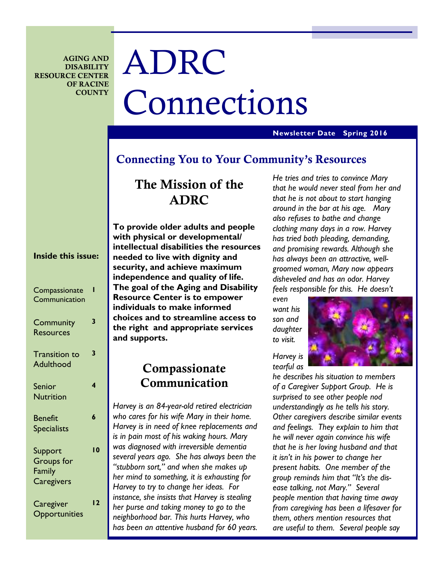**AGING AND DISABILITY RESOURCE CENTER OF RACINE COUNTY** 

# ADRC Connections

#### **Newsletter Date Spring 2016**

# **Connecting You to Your Community's Resources**

# **The Mission of the ADRC**

| <b>Inside this issue:</b>                            |    |
|------------------------------------------------------|----|
| Compassionate<br>Communication                       | ı  |
| Community<br><b>Resources</b>                        | 3  |
| <b>Transition to</b><br><b>Adulthood</b>             | 3  |
| Senior<br><b>Nutrition</b>                           | 4  |
| <b>Benefit</b><br><b>Specialists</b>                 | 6  |
| Support<br><b>Groups</b> for<br>Family<br>Caregivers | 10 |
| Caregiver<br>Opportunities                           | 12 |

**To provide older adults and people with physical or developmental/ intellectual disabilities the resources needed to live with dignity and security, and achieve maximum independence and quality of life. The goal of the Aging and Disability Resource Center is to empower individuals to make informed choices and to streamline access to the right and appropriate services and supports.** 

# **Compassionate Communication**

*Harvey is an 84-year-old retired electrician who cares for his wife Mary in their home. Harvey is in need of knee replacements and is in pain most of his waking hours. Mary was diagnosed with irreversible dementia several years ago. She has always been the "stubborn sort," and when she makes up her mind to something, it is exhausting for Harvey to try to change her ideas. For instance, she insists that Harvey is stealing her purse and taking money to go to the neighborhood bar. This hurts Harvey, who has been an attentive husband for 60 years.* 

*He tries and tries to convince Mary that he would never steal from her and that he is not about to start hanging around in the bar at his age. Mary also refuses to bathe and change clothing many days in a row. Harvey has tried both pleading, demanding, and promising rewards. Although she has always been an attractive, wellgroomed woman, Mary now appears disheveled and has an odor. Harvey feels responsible for this. He doesn't* 

*even want his son and daughter to visit.* 



*he describes his situation to members of a Caregiver Support Group. He is surprised to see other people nod understandingly as he tells his story. Other caregivers describe similar events and feelings. They explain to him that he will never again convince his wife that he is her loving husband and that it isn't in his power to change her present habits. One member of the group reminds him that "It's the disease talking, not Mary." Several people mention that having time away from caregiving has been a lifesaver for them, others mention resources that are useful to them. Several people say*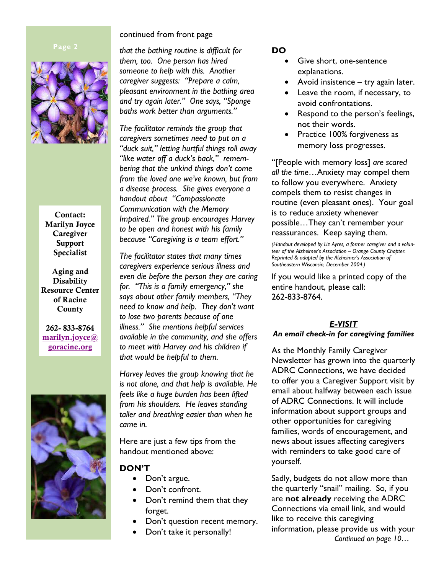

**Contact: Marilyn Joyce Caregiver Support Specialist** 

**Aging and Disability Resource Center of Racine County** 

**262- 833-8764 marilyn.joyce@ goracine.org**



#### continued from front page

*that the bathing routine is difficult for them, too. One person has hired someone to help with this. Another caregiver suggests: "Prepare a calm, pleasant environment in the bathing area and try again later." One says, "Sponge baths work better than arguments."* 

*The facilitator reminds the group that caregivers sometimes need to put on a "duck suit," letting hurtful things roll away "like water off a duck's back," remembering that the unkind things don't come from the loved one we've known, but from a disease process. She gives everyone a handout about "Compassionate Communication with the Memory Impaired." The group encourages Harvey to be open and honest with his family because "Caregiving is a team effort."* 

*The facilitator states that many times caregivers experience serious illness and even die before the person they are caring for. "This is a family emergency," she says about other family members, "They need to know and help. They don't want to lose two parents because of one illness." She mentions helpful services available in the community, and she offers to meet with Harvey and his children if that would be helpful to them.* 

*Harvey leaves the group knowing that he is not alone, and that help is available. He feels like a huge burden has been lifted from his shoulders. He leaves standing taller and breathing easier than when he came in.* 

Here are just a few tips from the handout mentioned above:

# **DON'T**

- Don't argue.
- Don't confront.
- Don't remind them that they forget.
- Don't question recent memory.
- Don't take it personally!

#### **DO**

- Give short, one-sentence explanations.
- Avoid insistence try again later.
- Leave the room, if necessary, to avoid confrontations.
- Respond to the person's feelings, not their words.
- Practice 100% forgiveness as memory loss progresses.

"[People with memory loss] *are scared all the time*…Anxiety may compel them to follow you everywhere. Anxiety compels them to resist changes in routine (even pleasant ones). Your goal is to reduce anxiety whenever possible…They can't remember your reassurances. Keep saying them.

*(Handout developed by Liz Ayres, a former caregiver and a volunteer of the Alzheimer's Association – Orange County Chapter. Reprinted & adapted by the Alzheimer's Association of Southeastern Wisconsin, December 2004.)* 

If you would like a printed copy of the entire handout, please call: 262-833-8764.

#### *E-VISIT*

#### *An email check-in for caregiving families*

As the Monthly Family Caregiver Newsletter has grown into the quarterly ADRC Connections, we have decided to offer you a Caregiver Support visit by email about halfway between each issue of ADRC Connections. It will include information about support groups and other opportunities for caregiving families, words of encouragement, and news about issues affecting caregivers with reminders to take good care of yourself.

Sadly, budgets do not allow more than the quarterly "snail" mailing. So, if you are **not already** receiving the ADRC Connections via email link, and would like to receive this caregiving information, please provide us with your *Continued on page 10…*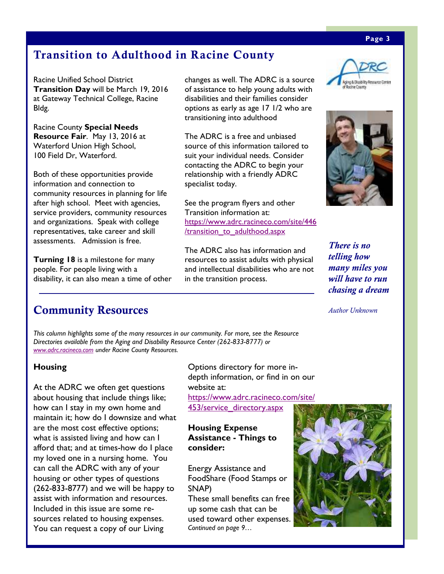#### **Page 3**

# **Transition to Adulthood in Racine County**

Racine Unified School District **Transition Day** will be March 19, 2016 at Gateway Technical College, Racine Bldg.

Racine County **Special Needs Resource Fair**. May 13, 2016 at Waterford Union High School, 100 Field Dr, Waterford.

Both of these opportunities provide information and connection to community resources in planning for life after high school. Meet with agencies, service providers, community resources and organizations. Speak with college representatives, take career and skill assessments. Admission is free.

**Turning 18** is a milestone for many people. For people living with a disability, it can also mean a time of other

changes as well. The ADRC is a source of assistance to help young adults with disabilities and their families consider options as early as age 17 1/2 who are transitioning into adulthood

The ADRC is a free and unbiased source of this information tailored to suit your individual needs. Consider contacting the ADRC to begin your relationship with a friendly ADRC specialist today.

See the program flyers and other Transition information at: https://www.adrc.racineco.com/site/446 /transition\_to\_adulthood.aspx

The ADRC also has information and resources to assist adults with physical and intellectual disabilities who are not in the transition process.





*There is no telling how many miles you will have to run chasing a dream* 

*Author Unknown* 

# **Community Resources**

*This column highlights some of the many resources in our community. For more, see the Resource Directories available from the Aging and Disability Resource Center (262-833-8777) or www.adrc.racineco.com under Racine County Resources.*

### **Housing**

At the ADRC we often get questions about housing that include things like; how can I stay in my own home and maintain it; how do I downsize and what are the most cost effective options; what is assisted living and how can I afford that; and at times-how do I place my loved one in a nursing home. You can call the ADRC with any of your housing or other types of questions (262-833-8777) and we will be happy to assist with information and resources. Included in this issue are some resources related to housing expenses. You can request a copy of our Living

Options directory for more indepth information, or find in on our website at:

https://www.adrc.racineco.com/site/ 453/service\_directory.aspx

#### **Housing Expense Assistance - Things to consider:**

Energy Assistance and FoodShare (Food Stamps or SNAP)

These small benefits can free up some cash that can be used toward other expenses. *Continued on page 9…* 

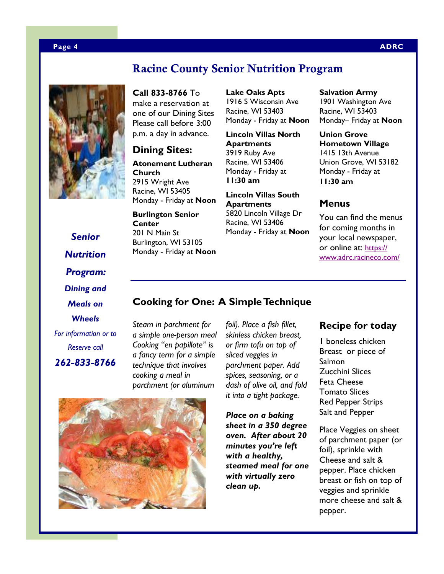# **Racine County Senior Nutrition Program**

**Call 833-8766** To make a reservation at one of our Dining Sites Please call before 3:00 p.m. a day in advance.

# **Dining Sites:**

**Atonement Lutheran Church**  2915 Wright Ave Racine, WI 53405 Monday - Friday at **Noon**

**Burlington Senior Center**  201 N Main St Burlington, WI 53105 Monday - Friday at **Noon** **Lake Oaks Apts**  1916 S Wisconsin Ave Racine, WI 53403 Monday - Friday at **Noon**

**Lincoln Villas North Apartments**  3919 Ruby Ave Racine, WI 53406 Monday - Friday at **11:30 am** 

**Lincoln Villas South Apartments**  5820 Lincoln Village Dr Racine, WI 53406 Monday - Friday at **Noon**

# **Salvation Army**

1901 Washington Ave Racine, WI 53403 Monday– Friday at **Noon**

**Union Grove Hometown Village**  1415 13th Avenue Union Grove, WI 53182 Monday - Friday at **11:30 am** 

### **Menus**

You can find the menus for coming months in your local newspaper, or online at: https:// www.adrc.racineco.com/

*Senior Nutrition Program: Dining and Meals on Wheels* 

*For information or to Reserve call 262-833-8766* 

*foil). Place a fish fillet, Steam in parchment for a simple one-person meal Cooking "en papillote" is a fancy term for a simple technique that involves cooking a meal in* 

*skinless chicken breast, or firm tofu on top of sliced veggies in parchment paper. Add spices, seasoning, or a parchment (or aluminum* 

**Cooking for One: A Simple Technique**



*dash of olive oil, and fold it into a tight package. Place on a baking sheet in a 350 degree oven. After about 20 minutes you're left* 

*with a healthy, steamed meal for one with virtually zero clean up.* 

### **Recipe for today**

1 boneless chicken Breast or piece of Salmon Zucchini Slices Feta Cheese Tomato Slices Red Pepper Strips Salt and Pepper

Place Veggies on sheet of parchment paper (or foil), sprinkle with Cheese and salt & pepper. Place chicken breast or fish on top of veggies and sprinkle more cheese and salt & pepper.

#### **Page 4 ADRC**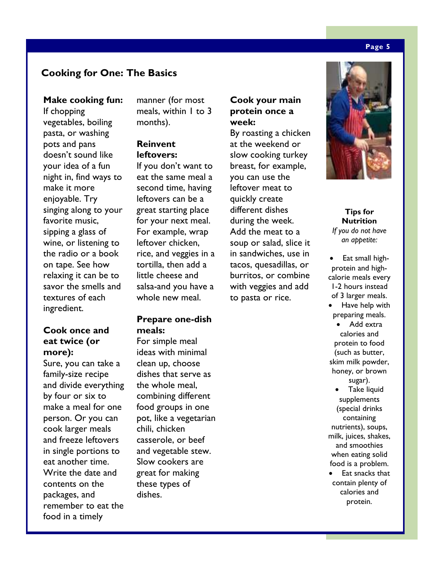# **Cooking for One: The Basics**

#### **Make cooking fun:**

If chopping vegetables, boiling pasta, or washing pots and pans doesn't sound like your idea of a fun night in, find ways to make it more enjoyable. Try singing along to your favorite music, sipping a glass of wine, or listening to the radio or a book on tape. See how relaxing it can be to savor the smells and textures of each ingredient.

### **Cook once and eat twice (or more):**

Sure, you can take a family-size recipe and divide everything by four or six to make a meal for one person. Or you can cook larger meals and freeze leftovers in single portions to eat another time. Write the date and contents on the packages, and remember to eat the food in a timely

manner (for most meals, within 1 to 3 months).

### **Reinvent leftovers:**

If you don't want to eat the same meal a second time, having leftovers can be a great starting place for your next meal. For example, wrap leftover chicken, rice, and veggies in a tortilla, then add a little cheese and salsa-and you have a whole new meal.

#### **Prepare one-dish meals:**

For simple meal ideas with minimal clean up, choose dishes that serve as the whole meal, combining different food groups in one pot, like a vegetarian chili, chicken casserole, or beef and vegetable stew. Slow cookers are great for making these types of dishes.

# **Cook your main protein once a week:**

By roasting a chicken at the weekend or slow cooking turkey breast, for example, you can use the leftover meat to quickly create different dishes during the week. Add the meat to a soup or salad, slice it in sandwiches, use in tacos, quesadillas, or burritos, or combine with veggies and add to pasta or rice.



#### **Tips for Nutrition**  *If you do not have an appetite:*

- Eat small highprotein and highcalorie meals every 1-2 hours instead of 3 larger meals.
- Have help with preparing meals. Add extra calories and protein to food (such as butter, skim milk powder, honey, or brown sugar). • Take liquid supplements (special drinks containing

nutrients), soups, milk, juices, shakes, and smoothies when eating solid food is a problem.

Eat snacks that contain plenty of calories and protein.

#### **Page 5**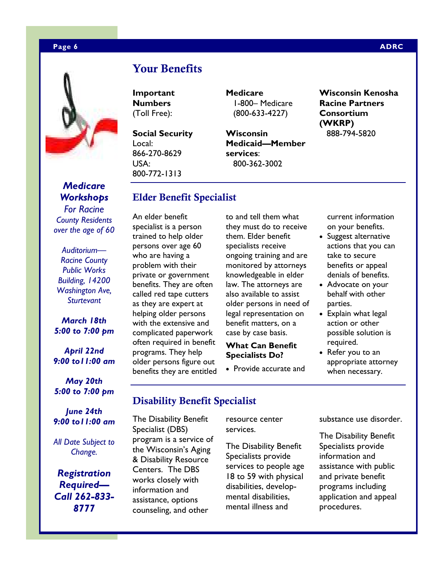

# *Medicare Workshops*

*For Racine County Residents over the age of 60* 

*Auditorium— Racine County Public Works Building, 14200 Washington Ave, Sturtevant* 

#### *March 18th 5:00 to 7:00 pm*

*April 22nd 9:00 to11:00 am* 

*May 20th 5:00 to 7:00 pm* 

*June 24th 9:00 to11:00 am* 

*All Date Subject to Change.* 

*Registration Required— Call 262-833- 8777* 

# **Your Benefits**

**Important Numbers**  (Toll Free):

**Social Security**  Local: 866-270-8629 USA: 800-772-1313

An elder benefit specialist is a person trained to help older persons over age 60 who are having a problem with their private or government benefits. They are often called red tape cutters as they are expert at helping older persons with the extensive and complicated paperwork often required in benefit programs. They help older persons figure out benefits they are entitled

**Elder Benefit Specialist** 

**Medicare**  1-800– Medicare (800-633-4227)

**Wisconsin Medicaid—Member services**: 800-362-3002

#### **Wisconsin Kenosha Racine Partners Consortium (WKRP)**  888-794-5820

to and tell them what they must do to receive them. Elder benefit specialists receive ongoing training and are monitored by attorneys knowledgeable in elder law. The attorneys are also available to assist older persons in need of legal representation on benefit matters, on a case by case basis.

#### **What Can Benefit Specialists Do?**

• Provide accurate and

current information on your benefits.

- Suggest alternative actions that you can take to secure benefits or appeal denials of benefits.
- Advocate on your behalf with other parties.
- Explain what legal action or other possible solution is required.
- Refer you to an appropriate attorney when necessary.

# **Disability Benefit Specialist**

The Disability Benefit Specialist (DBS) program is a service of the Wisconsin's Aging & Disability Resource Centers. The DBS works closely with information and assistance, options counseling, and other

resource center services.

The Disability Benefit Specialists provide services to people age 18 to 59 with physical disabilities, developmental disabilities, mental illness and

substance use disorder.

The Disability Benefit Specialists provide information and assistance with public and private benefit programs including application and appeal procedures.

#### **Page 6 ADRC 2012 12:00:00 ADRC 2013 12:00:00 ADRC 2014 12:00:00 ADRC**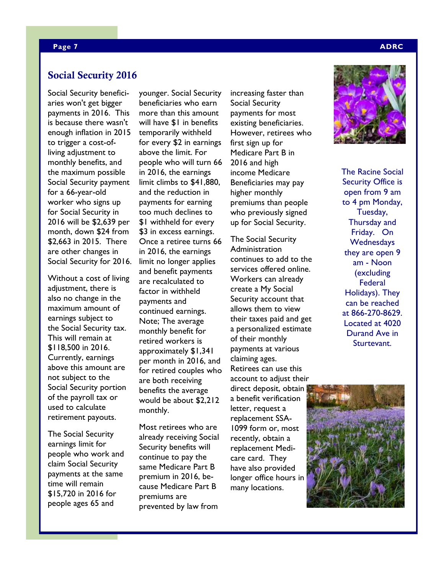#### **Page 7 ADRC 2014 12:00:00 ADRC 2014 12:00:00 ADRC 2014 12:00:00 ADRC 2014 12:00:00 ADRC**

#### **Social Security 2016**

Social Security beneficiaries won't get bigger payments in 2016. This is because there wasn't enough inflation in 2015 to trigger a cost-ofliving adjustment to monthly benefits, and the maximum possible Social Security payment for a 66-year-old worker who signs up for Social Security in 2016 will be \$2,639 per month, down \$24 from \$2,663 in 2015. There are other changes in Social Security for 2016.

Without a cost of living adjustment, there is also no change in the maximum amount of earnings subject to the Social Security tax. This will remain at \$118,500 in 2016. Currently, earnings above this amount are not subject to the Social Security portion of the payroll tax or used to calculate retirement payouts.

The Social Security earnings limit for people who work and claim Social Security payments at the same time will remain \$15,720 in 2016 for people ages 65 and

younger. Social Security beneficiaries who earn more than this amount will have \$1 in benefits temporarily withheld for every \$2 in earnings above the limit. For people who will turn 66 in 2016, the earnings limit climbs to \$41,880, and the reduction in payments for earning too much declines to \$1 withheld for every \$3 in excess earnings. Once a retiree turns 66 in 2016, the earnings limit no longer applies and benefit payments are recalculated to factor in withheld payments and continued earnings. Note; The average monthly benefit for retired workers is approximately \$1,341 per month in 2016, and for retired couples who are both receiving benefits the average would be about \$2,212 monthly.

Most retirees who are already receiving Social Security benefits will continue to pay the same Medicare Part B premium in 2016, because Medicare Part B premiums are prevented by law from

increasing faster than Social Security payments for most existing beneficiaries. However, retirees who first sign up for Medicare Part B in 2016 and high income Medicare Beneficiaries may pay higher monthly premiums than people who previously signed up for Social Security.

The Social Security Administration continues to add to the services offered online. Workers can already create a My Social Security account that allows them to view their taxes paid and get a personalized estimate of their monthly payments at various claiming ages. Retirees can use this account to adjust their direct deposit, obtain a benefit verification letter, request a replacement SSA-1099 form or, most recently, obtain a replacement Medicare card. They have also provided longer office hours in many locations.



The Racine Social Security Office is open from 9 am to 4 pm Monday, Tuesday, Thursday and Friday. On **Wednesdays** they are open 9 am - Noon (excluding **Federal** Holidays). They can be reached at 866-270-8629. Located at 4020 Durand Ave in Sturtevant.

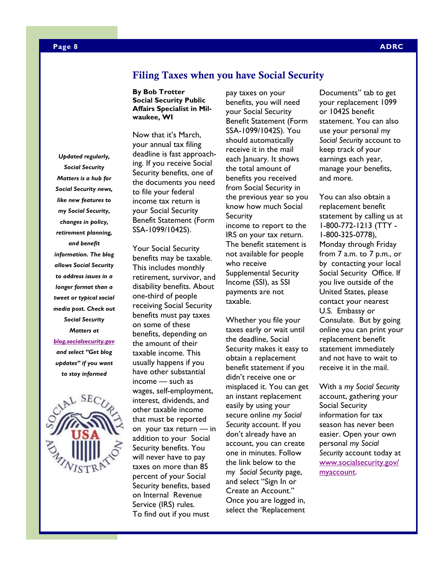*Updated regularly, Social Security Matters is a hub for Social Security news, like new features to my Social Security***,** *changes in policy, retirement planning, and benefit information. The blog allows Social Security to address issues in a longer format than a tweet or typical social media post. Check out Social Security Matters at* 

*blog.socialsecurity.gov and select "Get blog updates" if you want to stay informed* 



#### **Filing Taxes when you have Social Security**

#### **By Bob Trotter Social Security Public Affairs Specialist in Milwaukee, WI**

Now that it's March, your annual tax filing deadline is fast approaching. If you receive Social Security benefits, one of the documents you need to file your federal income tax return is your Social Security Benefit Statement (Form SSA-1099/1042S).

Your Social Security benefits may be taxable. This includes monthly retirement, survivor, and disability benefits. About one-third of people receiving Social Security benefits must pay taxes on some of these benefits, depending on the amount of their taxable income. This usually happens if you have other substantial income — such as wages, self-employment, interest, dividends, and other taxable income that must be reported on your tax return — in addition to your Social Security benefits. You will never have to pay taxes on more than 85 percent of your Social Security benefits, based on Internal Revenue Service (IRS) rules. To find out if you must

pay taxes on your benefits, you will need your Social Security Benefit Statement (Form SSA-1099/1042S). You should automatically receive it in the mail each January. It shows the total amount of benefits you received from Social Security in the previous year so you know how much Social **Security** income to report to the IRS on your tax return. The benefit statement is not available for people who receive Supplemental Security Income (SSI), as SSI payments are not taxable.

Whether you file your taxes early or wait until the deadline, Social Security makes it easy to obtain a replacement benefit statement if you didn't receive one or misplaced it. You can get an instant replacement easily by using your secure online *my Social Security* account. If you don't already have an account, you can create one in minutes. Follow the link below to the *my Social Security* page, and select "Sign In or Create an Account." Once you are logged in, select the 'Replacement

Documents" tab to get your replacement 1099 or 1042S benefit statement. You can also use your personal *my Social Security* account to keep track of your earnings each year, manage your benefits, and more.

You can also obtain a replacement benefit statement by calling us at 1-800-772-1213 (TTY - 1-800-325-0778), Monday through Friday from 7 a.m. to 7 p.m., or by contacting your local Social Security Office. If you live outside of the United States, please contact your nearest U.S. Embassy or Consulate. But by going online you can print your replacement benefit statement immediately and not have to wait to receive it in the mail.

With a *my Social Security*  account, gathering your Social Security information for tax season has never been easier. Open your own personal *my Social Security* account today at www.socialsecurity.gov/ myaccount.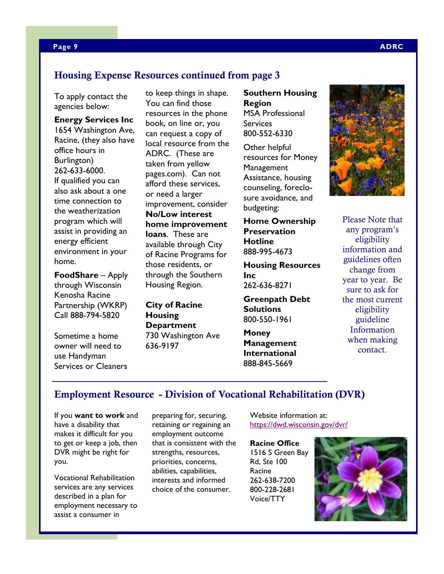#### **Page 9 ADRC 2014 12:00:00 ADRC 2014 12:00:00 ADRC 2014 12:00:00 ADRC**

# **Housing Expense Resources continued from page 3**

To apply contact the agencies below:

**Energy Services Inc**  1654 Washington Ave, Racine, (they also have office hours in Burlington) 262-633-6000. If qualified you can also ask about a one time connection to the weatherization program which will assist in providing an energy efficient environment in your home.

**FoodShare** – Apply through Wisconsin Kenosha Racine Partnership (WKRP) Call 888-794-5820

Sometime a home owner will need to use Handyman Services or Cleaners

to keep things in shape. You can find those resources in the phone book, on line or, you can request a copy of local resource from the ADRC. (These are taken from yellow pages.com). Can not afford these services, or need a larger improvement, consider **No/Low interest home improvement loans**. These are available through City of Racine Programs for those residents, or through the Southern Housing Region.

# **City of Racine Housing Department**  730 Washington Ave

636-9197

**Southern Housing Region**  MSA Professional **Services** 800-552-6330

Other helpful resources for Money **Management** Assistance, housing counseling, foreclosure avoidance, and budgeting:

**Home Ownership Preservation Hotline**  888-995-4673

**Housing Resources Inc**  262-636-8271

**Greenpath Debt Solutions**  800-550-1961

**Money Management International**  888-845-5669



Please Note that any program's eligibility information and guidelines often change from year to year. Be sure to ask for the most current eligibility guideline Information when making contact.

# **Employment Resource - Division of Vocational Rehabilitation (DVR)**

If you **want to work** and have a disability that makes it difficult for you to get or keep a job, then DVR might be right for you.

Vocational Rehabilitation services are any services described in a plan for employment necessary to assist a consumer in

preparing for, securing, retaining or regaining an employment outcome that is consistent with the strengths, resources, priorities, concerns, abilities, capabilities, interests and informed choice of the consumer.

Website information at: https://dwd.wisconsin.gov/dvr/

**Racine Office**  1516 S Green Bay Rd, Ste 100 Racine 262-638-7200 800-228-2681 Voice/TTY

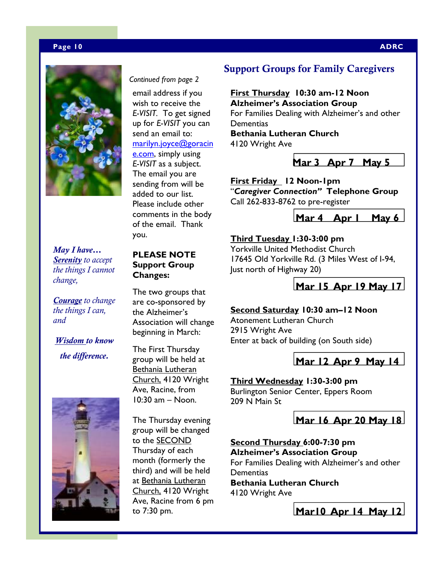#### **Page 10 ADRC**



*Continued from page 2*

email address if you wish to receive the *E-VISIT.* To get signed up for *E-VISIT* you can send an email to: marilyn.joyce@goracin e.com, simply using *E-VISIT* as a subject. The email you are sending from will be added to our list.

Please include other comments in the body of the email. Thank you.

*May I have… Serenity to accept the things I cannot change,* 

*Courage to change the things I can, and* 

# *Wisdom to know the difference.*



### **PLEASE NOTE Support Group Changes:**

The two groups that are co-sponsored by the Alzheimer's Association will change beginning in March:

The First Thursday group will be held at Bethania Lutheran Church, 4120 Wright Ave, Racine, from 10:30 am – Noon.

The Thursday evening group will be changed to the SECOND Thursday of each month (formerly the third) and will be held at Bethania Lutheran Church, 4120 Wright Ave, Racine from 6 pm to 7:30 pm.

# **Support Groups for Family Caregivers**

**First Thursday 10:30 am-12 Noon Alzheimer's Association Group**  For Families Dealing with Alzheimer's and other **Dementias Bethania Lutheran Church** 4120 Wright Ave

**Mar 3 Apr 7 May 5** 

**First Friday 12 Noon-1pm**  "*Caregiver Connection"* **Telephone Group**  Call 262-833-8762 to pre-register



### **Third Tuesday 1:30-3:00 pm**

Yorkville United Methodist Church 17645 Old Yorkville Rd. (3 Miles West of I-94, Just north of Highway 20)

**Mar 15 Apr 19 May 17**

#### **Second Saturday 10:30 am–12 Noon**

Atonement Lutheran Church 2915 Wright Ave Enter at back of building (on South side)

**Mar 12 Apr 9 May 14**

#### **Third Wednesday 1:30-3:00 pm**

Burlington Senior Center, Eppers Room 209 N Main St

**Mar 16 Apr 20 May 18**

**Second Thursday 6:00-7:30 pm Alzheimer's Association Group**  For Families Dealing with Alzheimer's and other **Dementias Bethania Lutheran Church**  4120 Wright Ave

**Mar10 Apr 14 May 12**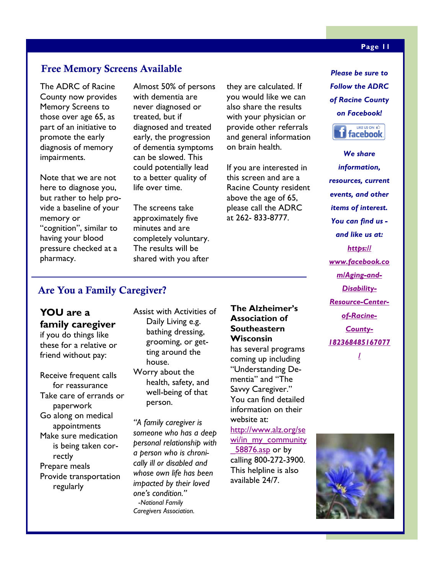# **Free Memory Screens Available**

The ADRC of Racine County now provides Memory Screens to those over age 65, as part of an initiative to promote the early diagnosis of memory impairments.

Note that we are not here to diagnose you, but rather to help provide a baseline of your memory or "cognition", similar to having your blood pressure checked at a pharmacy.

Almost 50% of persons with dementia are never diagnosed or treated, but if diagnosed and treated early, the progression of dementia symptoms can be slowed. This could potentially lead to a better quality of life over time.

The screens take approximately five minutes and are completely voluntary. The results will be shared with you after

they are calculated. If you would like we can also share the results with your physician or provide other referrals and general information on brain health.

If you are interested in this screen and are a Racine County resident above the age of 65, please call the ADRC at 262- 833-8777.

*Please be sure to Follow the ADRC of Racine County on Facebook!* 



*We share information, resources, current events, and other items of interest. You can find us and like us at: https:// www.facebook.co m/Aging-and-Disability-Resource-Centerof-Racine-County-182368485167077 /*

# **Are You a Family Caregiver?**

# **YOU are a family caregiver**

if you do things like these for a relative or friend without pay:

Receive frequent calls for reassurance Take care of errands or paperwork Go along on medical appointments Make sure medication is being taken correctly Prepare meals Provide transportation regularly

Assist with Activities of Daily Living e.g. bathing dressing, grooming, or getting around the house.

Worry about the health, safety, and well-being of that person.

*"A family caregiver is someone who has a deep personal relationship with a person who is chronically ill or disabled and whose own life has been impacted by their loved one's condition."*  -*National Family Caregivers Association.* 

# **The Alzheimer's Association of Southeastern Wisconsin**

has several programs coming up including "Understanding Dementia" and "The Savvy Caregiver." You can find detailed information on their website at:

http://www.alz.org/se wi/in\_my\_community \_58876.asp or by calling 800-272-3900. This helpline is also available 24/7.



#### **Page 11**